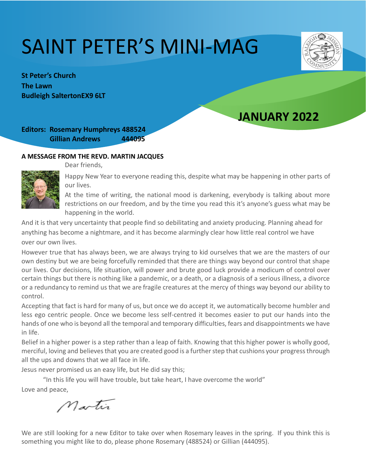# SAINT PETER'S MINI-MAG

**St Peter's Church The Lawn Budleigh SaltertonEX9 6LT** 

# **JANUARY 2022**

# **Editors: Rosemary Humphreys 488524 Gillian Andrews 444095**

#### **A MESSAGE FROM THE REVD. MARTIN JACQUES**

Dear friends,



Happy New Year to everyone reading this, despite what may be happening in other parts of our lives.

At the time of writing, the national mood is darkening, everybody is talking about more restrictions on our freedom, and by the time you read this it's anyone's guess what may be happening in the world.

And it is that very uncertainty that people find so debilitating and anxiety producing. Planning ahead for anything has become a nightmare, and it has become alarmingly clear how little real control we have over our own lives.

However true that has always been, we are always trying to kid ourselves that we are the masters of our own destiny but we are being forcefully reminded that there are things way beyond our control that shape our lives. Our decisions, life situation, will power and brute good luck provide a modicum of control over certain things but there is nothing like a pandemic, or a death, or a diagnosis of a serious illness, a divorce or a redundancy to remind us that we are fragile creatures at the mercy of things way beyond our ability to control.

Accepting that fact is hard for many of us, but once we do accept it, we automatically become humbler and less ego centric people. Once we become less self-centred it becomes easier to put our hands into the hands of one who is beyond all the temporal and temporary difficulties, fears and disappointments we have in life.

Belief in a higher power is a step rather than a leap of faith. Knowing that this higher power is wholly good, merciful, loving and believes that you are created good is a further step that cushions your progress through all the ups and downs that we all face in life.

Jesus never promised us an easy life, but He did say this;

"In this life you will have trouble, but take heart, I have overcome the world" Love and peace,

Martin

We are still looking for a new Editor to take over when Rosemary leaves in the spring. If you think this is something you might like to do, please phone Rosemary (488524) or Gillian (444095).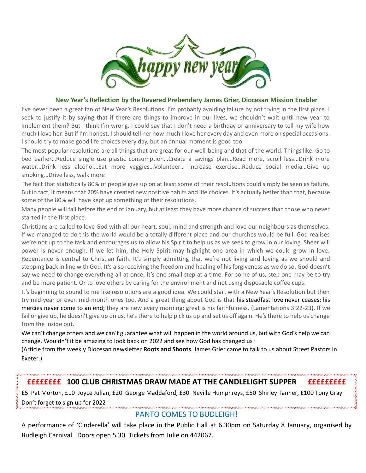

#### **New Year's Reflection by the Revered Prebendary James Grier, Diocesan Mission Enabler**

I've never been a great fan of New Year's Resolutions. I'm probably avoiding failure by not trying in the first place. I seek to justify it by saying that if there are things to improve in our lives, we shouldn't wait until new year to implement them? But I think I'm wrong. I could say that I don't need a birthday or anniversary to tell my wife how much I love her. But if I'm honest, I should tell her how much I love her every day and even more on special occasions. I should try to make good life choices every day, but an annual moment is good too.

The most popular resolutions are all things that are great for our well-being and that of the world. Things like: Go to bed earlier…Reduce single use plastic consumption…Create a savings plan…Read more, scroll less…Drink more water…Drink less alcohol…Eat more veggies…Volunteer… Increase exercise…Reduce social media…Give up smoking…Drive less, walk more

The fact that statistically 80% of people give up on at least some of their resolutions could simply be seen as failure. But in fact, it means that 20% have created new positive habits and life choices. It's actually better than that, because some of the 80% will have kept up something of their resolutions.

Many people will fail before the end of January, but at least they have more chance of success than those who never started in the first place.

Christians are called to love God with all our heart, soul, mind and strength and love our neighbours as themselves. If we managed to do this the world would be a totally different place and our churches would be full. God realises we're not up to the task and encourages us to allow his Spirit to help us as we seek to grow in our loving. Sheer will power is never enough. If we let him, the Holy Spirit may highlight one area in which we could grow in love. Repentance is central to Christian faith. It's simply admitting that we're not living and loving as we should and stepping back in line with God. It's also receiving the freedom and healing of his forgiveness as we do so. God doesn't say we need to change everything all at once, it's one small step at a time. For some of us, step one may be to try and be more patient. Or to love others by caring for the environment and not using disposable coffee cups.

It's beginning to sound to me like resolutions are a good idea. We could start with a New Year's Resolution but then try mid-year or even mid-month ones too. And a great thing about God is that his steadfast love never ceases; his mercies never come to an end; they are new every morning; great is his faithfulness. (Lamentations 3:22-23). If we fail or give up, he doesn't give up on us, he's there to help pick us up and set us off again. He's there to help us change from the inside out.

We can't change others and we can't guarantee what will happen in the world around us, but with God's help we can change. Wouldn't it be amazing to look back on 2022 and see how God has changed us?

(Article from the weekly Diocesan newsletter **Roots and Shoots**. James Grier came to talk to us about Street Pastors in Exeter.)

## **££££££££ 100 CLUB CHRISTMAS DRAW MADE AT THE CANDLELIGHT SUPPER £££££££££**

£5 Pat Morton, £10 Joyce Julian, £20 George Maddaford, £30 Neville Humphreys, £50 Shirley Tanner, £100 Tony Gray Don't forget to sign up for 2022!

## PANTO COMES TO BUDLEIGH!

A performance of 'Cinderella' will take place in the Public Hall at 6.30pm on Saturday 8 January, organised by Budleigh Carnival. Doors open 5.30. Tickets from Julie on 442067.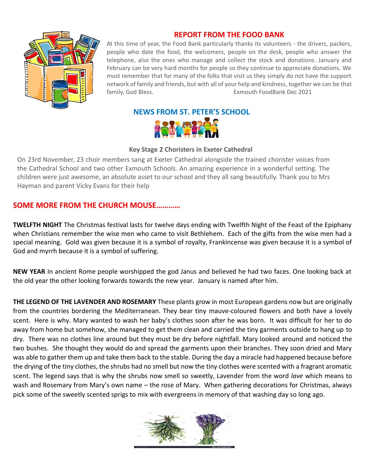

# **REPORT FROM THE FOOD BANK**

At this time of year, the Food Bank particularly thanks its volunteers - the drivers, packers, people who date the food, the welcomers, people on the desk, people who answer the telephone, also the ones who manage and collect the stock and donations. January and February can be very hard months for people so they continue to appreciate donations. We must remember that for many of the folks that visit us they simply do not have the support network of family and friends, but with all of your help and kindness, together we can be that family. God Bless. Exmouth FoodBank Dec 2021

## **NEWS FROM ST. PETER'S SCHOOL**



#### **Key Stage 2 Choristers in Exeter Cathedral**

On 23rd November, 23 choir members sang at Exeter Cathedral alongside the trained chorister voices from the Cathedral School and two other Exmouth Schools. An amazing experience in a wonderful setting. The children were just awesome, an absolute asset to our school and they all sang beautifully. Thank you to Mrs Hayman and parent Vicky Evans for their help

## **SOME MORE FROM THE CHURCH MOUSE…………**

**TWELFTH NIGHT** The Christmas festival lasts for twelve days ending with Twelfth Night of the Feast of the Epiphany when Christians remember the wise men who came to visit Bethlehem. Each of the gifts from the wise men had a special meaning. Gold was given because it is a symbol of royalty, Frankincense was given because it is a symbol of God and myrrh because it is a symbol of suffering.

**NEW YEAR** In ancient Rome people worshipped the god Janus and believed he had two faces. One looking back at the old year the other looking forwards towards the new year. January is named after him.

**THE LEGEND OF THE LAVENDER AND ROSEMARY** These plants grow in most European gardens now but are originally from the countries bordering the Mediterranean. They bear tiny mauve-coloured flowers and both have a lovely scent. Here is why. Mary wanted to wash her baby's clothes soon after he was born. It was difficult for her to do away from home but somehow, she managed to get them clean and carried the tiny garments outside to hang up to dry. There was no clothes line around but they must be dry before nightfall. Mary looked around and noticed the two bushes. She thought they would do and spread the garments upon their branches. They soon dried and Mary was able to gather them up and take them back to the stable. During the day a miracle had happened because before the drying of the tiny clothes, the shrubs had no smell but now the tiny clothes were scented with a fragrant aromatic scent. The legend says that is why the shrubs now smell so sweetly, Lavender from the word *lave* which means to wash and Rosemary from Mary's own name – the rose of Mary. When gathering decorations for Christmas, always pick some of the sweetly scented sprigs to mix with evergreens in memory of that washing day so long ago.